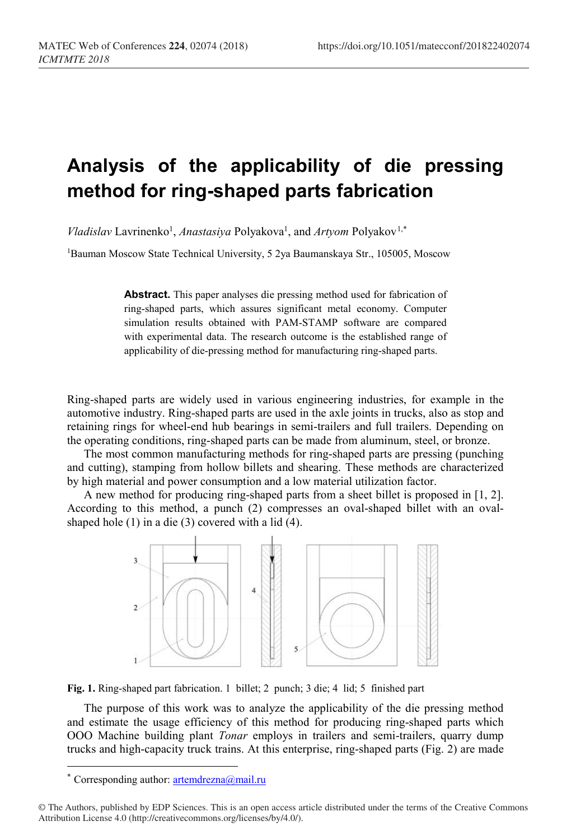## **Analysis of the applicability of die pressing method for ring-shaped parts fabrication**

*Vladislav* Lavrinenko<sup>1</sup>, *Anastasiya* Polyakova<sup>1</sup>, and *Artyom* Polyakov<sup>[1,](#page-0-0)\*</sup>

1Bauman Moscow State Technical University, 5 2ya Baumanskaya Str., 105005, Moscow

**Abstract.** This paper analyses die pressing method used for fabrication of ring-shaped parts, which assures significant metal economy. Computer simulation results obtained with PAM-STAMP software are compared with experimental data. The research outcome is the established range of applicability of die-pressing method for manufacturing ring-shaped parts.

Ring-shaped parts are widely used in various engineering industries, for example in the automotive industry. Ring-shaped parts are used in the axle joints in trucks, also as stop and retaining rings for wheel-end hub bearings in semi-trailers and full trailers. Depending on the operating conditions, ring-shaped parts can be made from aluminum, steel, or bronze.

The most common manufacturing methods for ring-shaped parts are pressing (punching and cutting), stamping from hollow billets and shearing. These methods are characterized by high material and power consumption and a low material utilization factor.

A new method for producing ring-shaped parts from a sheet billet is proposed in [1, 2]. According to this method, a punch (2) compresses an oval-shaped billet with an ovalshaped hole (1) in a die (3) covered with a lid (4).



**Fig. 1.** Ring-shaped part fabrication. 1 billet; 2 punch; 3 die; 4 lid; 5 finished part

The purpose of this work was to analyze the applicability of the die pressing method and estimate the usage efficiency of this method for producing ring-shaped parts which OOO Machine building plant *Tonar* employs in trailers and semi-trailers, quarry dump trucks and high-capacity truck trains. At this enterprise, ring-shaped parts (Fig. 2) are made

 $\overline{\phantom{a}}$ 

<sup>\*</sup> Corresponding author:  $artemdrezna@mail.ru$ 

<span id="page-0-0"></span><sup>©</sup> The Authors, published by EDP Sciences. This is an open access article distributed under the terms of the Creative Commons Attribution License 4.0 (http://creativecommons.org/licenses/by/4.0/).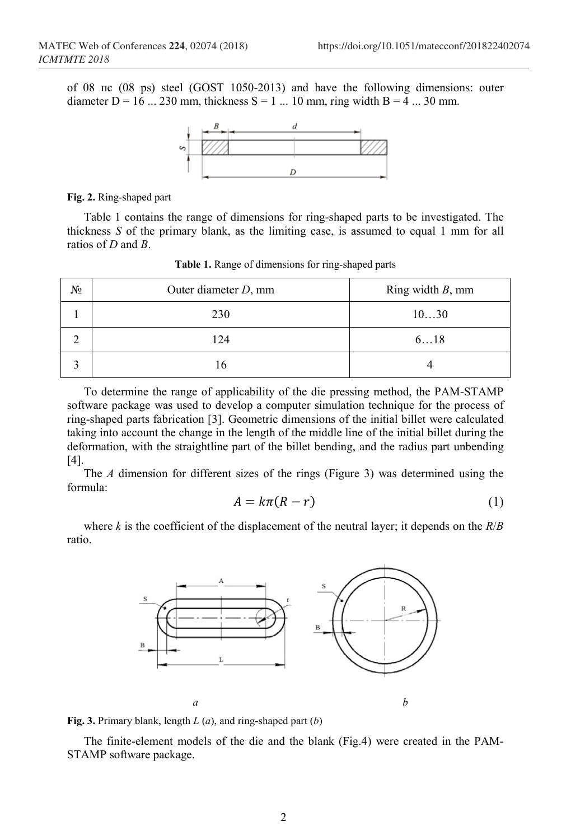of 08 пс (08 ps) steel (GOST 1050-2013) and have the following dimensions: outer diameter D = 16 ... 230 mm, thickness S = 1 ... 10 mm, ring width B = 4 ... 30 mm.



**Fig. 2.** Ring-shaped part

Table 1 contains the range of dimensions for ring-shaped parts to be investigated. The thickness *S* of the primary blank, as the limiting case, is assumed to equal 1 mm for all ratios of *D* and *B*.

| N <sub>2</sub> | Outer diameter $D$ , mm | Ring width $B$ , mm |
|----------------|-------------------------|---------------------|
|                | 230                     | 1030                |
|                | 124                     | 618                 |
|                | 16                      |                     |

**Table 1.** Range of dimensions for ring-shaped parts

To determine the range of applicability of the die pressing method, the PAM-STAMP software package was used to develop a computer simulation technique for the process of ring-shaped parts fabrication [3]. Geometric dimensions of the initial billet were calculated taking into account the change in the length of the middle line of the initial billet during the deformation, with the straightline part of the billet bending, and the radius part unbending [4].

The *A* dimension for different sizes of the rings (Figure 3) was determined using the formula:

$$
A = k\pi (R - r) \tag{1}
$$

where *k* is the coefficient of the displacement of the neutral layer; it depends on the  $R/B$ ratio.



**Fig. 3.** Primary blank, length *L* (*a*), and ring-shaped part (*b*)

The finite-element models of the die and the blank (Fig.4) were created in the PAM-STAMP software package.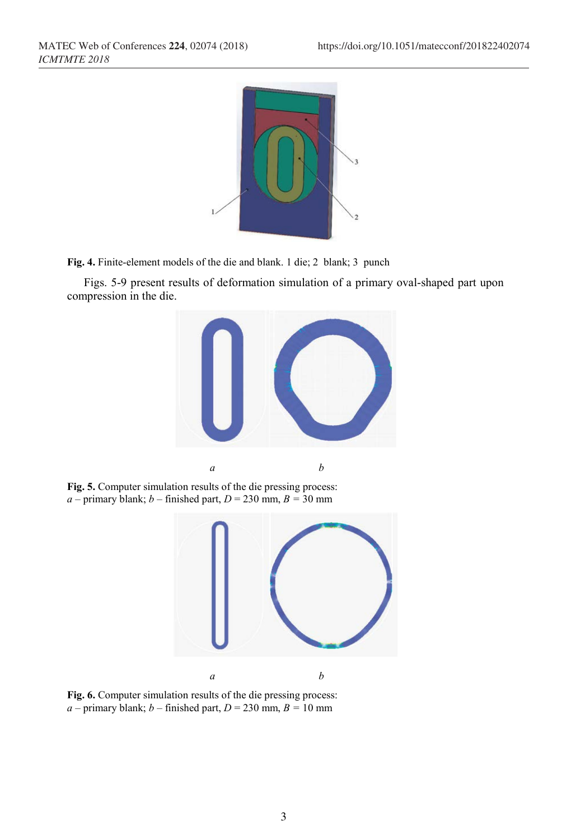

**Fig. 4.** Finite-element models of the die and blank. 1 die; 2 blank; 3 punch

Figs. 5-9 present results of deformation simulation of a primary oval-shaped part upon compression in the die.



**Fig. 5.** Computer simulation results of the die pressing process:  $a$  – primary blank;  $b$  – finished part,  $D = 230$  mm,  $B = 30$  mm



**Fig. 6.** Computer simulation results of the die pressing process:  $a$  – primary blank;  $b$  – finished part,  $D = 230$  mm,  $B = 10$  mm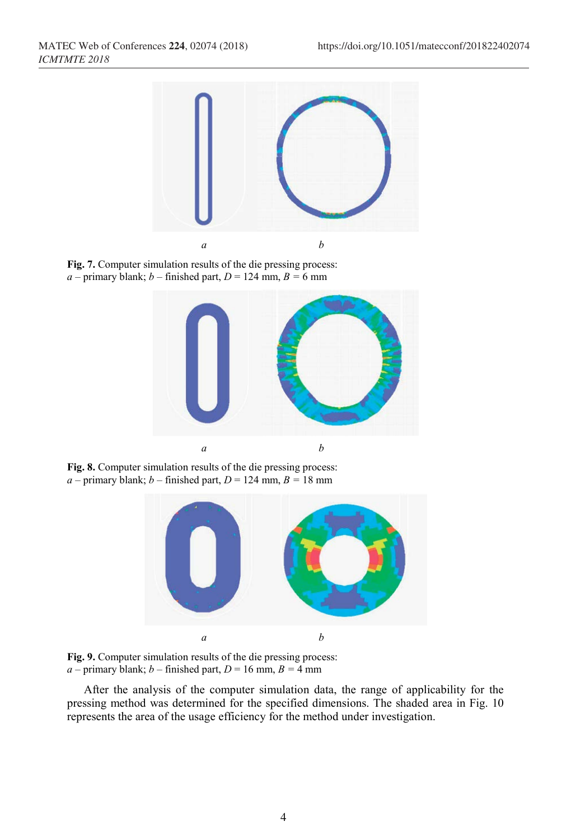

**Fig. 7.** Computer simulation results of the die pressing process:  $a$  – primary blank;  $b$  – finished part,  $D = 124$  mm,  $B = 6$  mm



**Fig. 8.** Computer simulation results of the die pressing process:  $a$  – primary blank;  $b$  – finished part,  $D = 124$  mm,  $B = 18$  mm



**Fig. 9.** Computer simulation results of the die pressing process:  $a$  – primary blank;  $b$  – finished part,  $D = 16$  mm,  $B = 4$  mm

After the analysis of the computer simulation data, the range of applicability for the pressing method was determined for the specified dimensions. The shaded area in Fig. 10 represents the area of the usage efficiency for the method under investigation.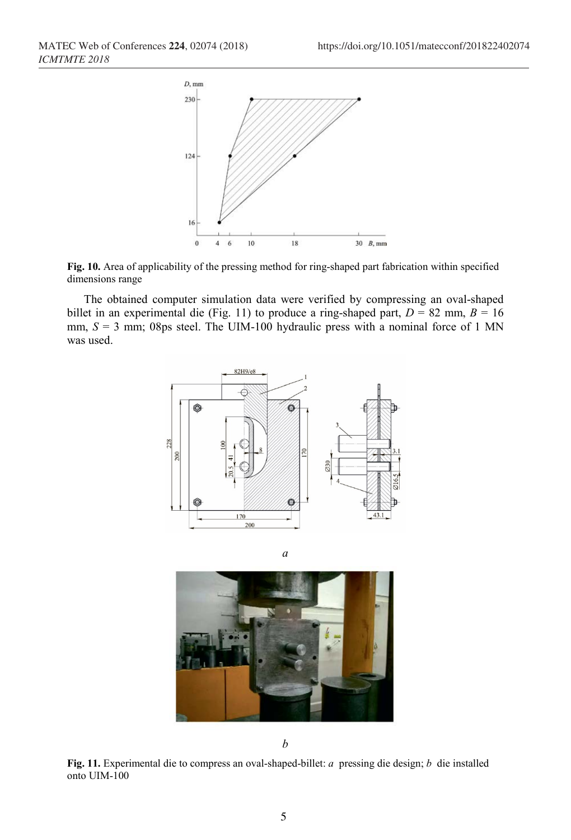



The obtained computer simulation data were verified by compressing an oval-shaped billet in an experimental die (Fig. 11) to produce a ring-shaped part,  $D = 82$  mm,  $B = 16$ mm,  $S = 3$  mm; 08ps steel. The UIM-100 hydraulic press with a nominal force of 1 MN was used.





*a*

*b*

**Fig. 11.** Experimental die to compress an oval-shaped-billet: *a* pressing die design; *b* die installed onto UIM-100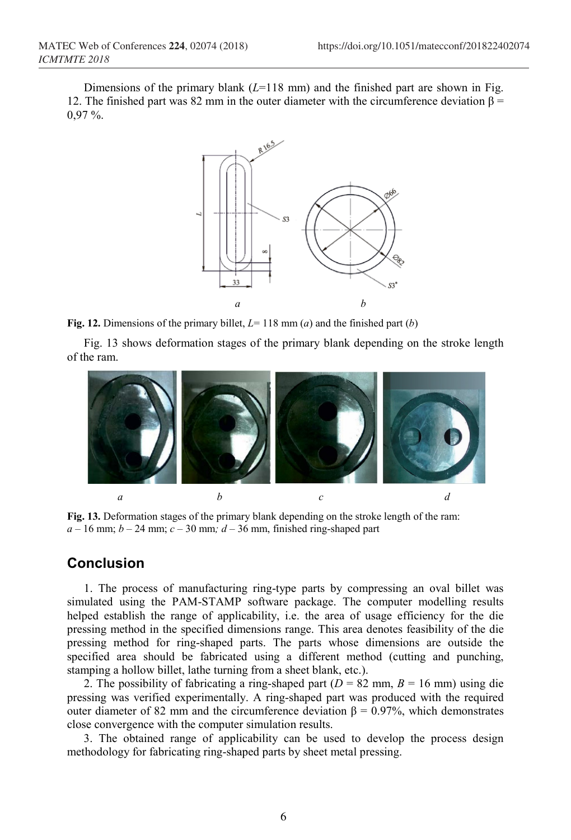Dimensions of the primary blank  $(L=118 \text{ mm})$  and the finished part are shown in Fig. 12. The finished part was 82 mm in the outer diameter with the circumference deviation  $\beta$  = 0,97 %.



**Fig. 12.** Dimensions of the primary billet, *L*= 118 mm (*a*) and the finished part (*b*)

Fig. 13 shows deformation stages of the primary blank depending on the stroke length of the ram.



**Fig. 13.** Deformation stages of the primary blank depending on the stroke length of the ram:  $a - 16$  mm;  $b - 24$  mm;  $c - 30$  mm;  $d - 36$  mm, finished ring-shaped part

## **Conclusion**

1. The process of manufacturing ring-type parts by compressing an oval billet was simulated using the PAM-STAMP software package. The computer modelling results helped establish the range of applicability, i.e. the area of usage efficiency for the die pressing method in the specified dimensions range. This area denotes feasibility of the die pressing method for ring-shaped parts. The parts whose dimensions are outside the specified area should be fabricated using a different method (cutting and punching, stamping a hollow billet, lathe turning from a sheet blank, etc.).

2. The possibility of fabricating a ring-shaped part ( $D = 82$  mm,  $B = 16$  mm) using die pressing was verified experimentally. A ring-shaped part was produced with the required outer diameter of 82 mm and the circumference deviation  $β = 0.97%$ , which demonstrates close convergence with the computer simulation results.

3. The obtained range of applicability can be used to develop the process design methodology for fabricating ring-shaped parts by sheet metal pressing.